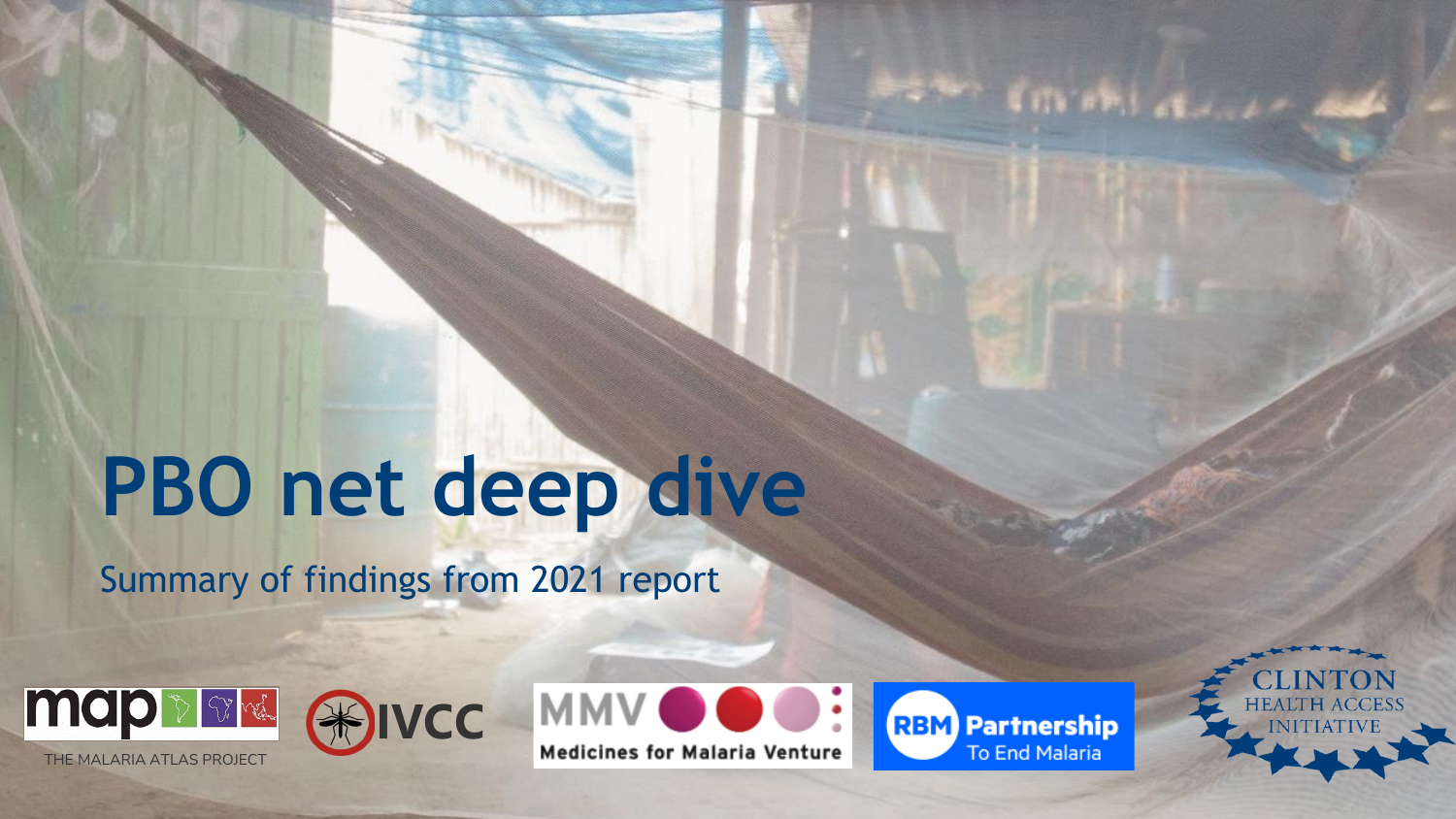# **PBO net deep dive**

Summary of findings from 2021 report



THE MALARIA ATLAS PROJECT



**Medicines for Malaria Venture** 

**RBM** Partnership To End Malaria

**BOWY CITY FRIENDS** 

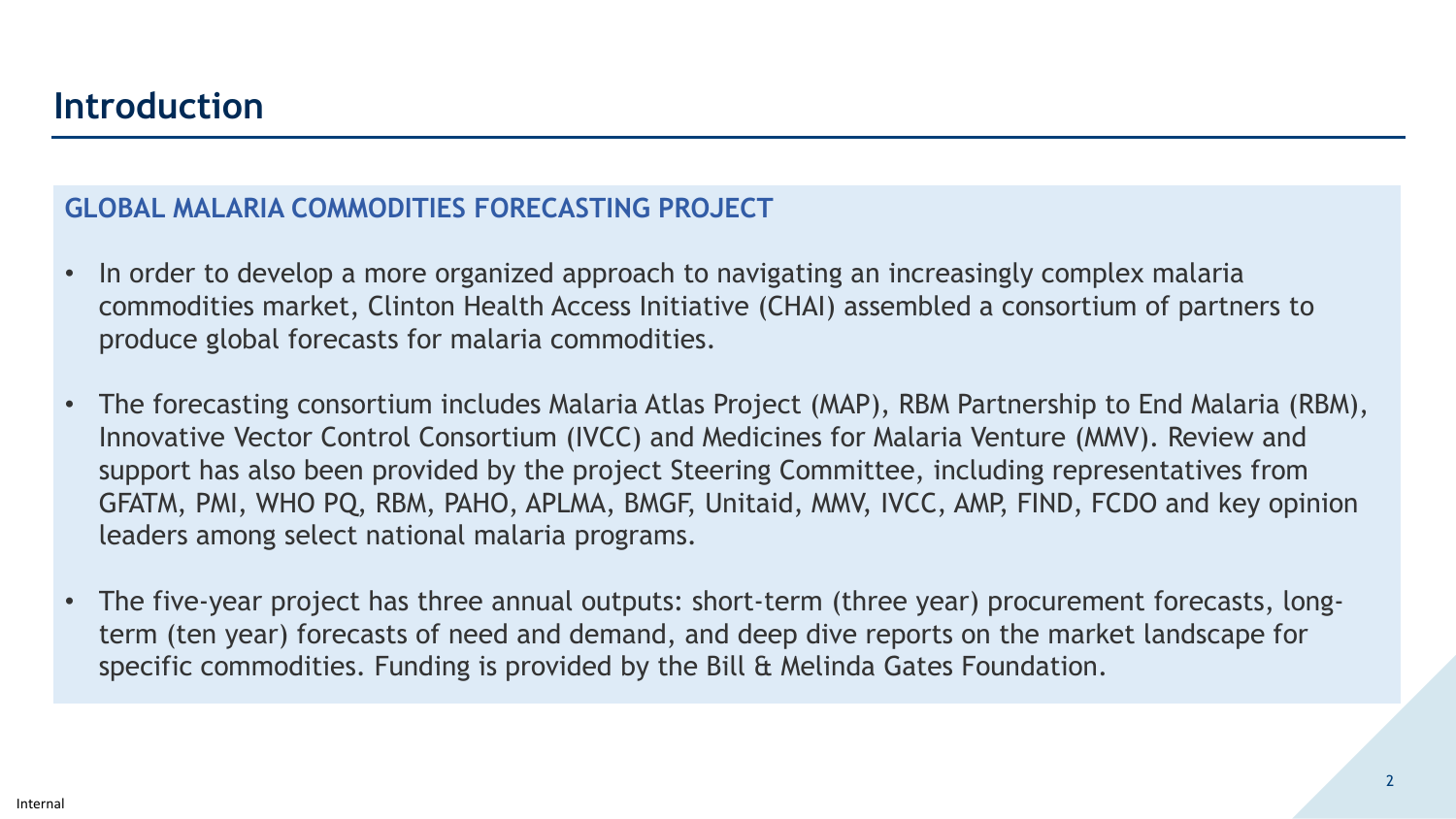### **GLOBAL MALARIA COMMODITIES FORECASTING PROJECT**

- In order to develop a more organized approach to navigating an increasingly complex malaria commodities market, Clinton Health Access Initiative (CHAI) assembled a consortium of partners to produce global forecasts for malaria commodities.
- The forecasting consortium includes Malaria Atlas Project (MAP), RBM Partnership to End Malaria (RBM), Innovative Vector Control Consortium (IVCC) and Medicines for Malaria Venture (MMV). Review and support has also been provided by the project Steering Committee, including representatives from GFATM, PMI, WHO PQ, RBM, PAHO, APLMA, BMGF, Unitaid, MMV, IVCC, AMP, FIND, FCDO and key opinion leaders among select national malaria programs.
- The five-year project has three annual outputs: short-term (three year) procurement forecasts, longterm (ten year) forecasts of need and demand, and deep dive reports on the market landscape for specific commodities. Funding is provided by the Bill & Melinda Gates Foundation.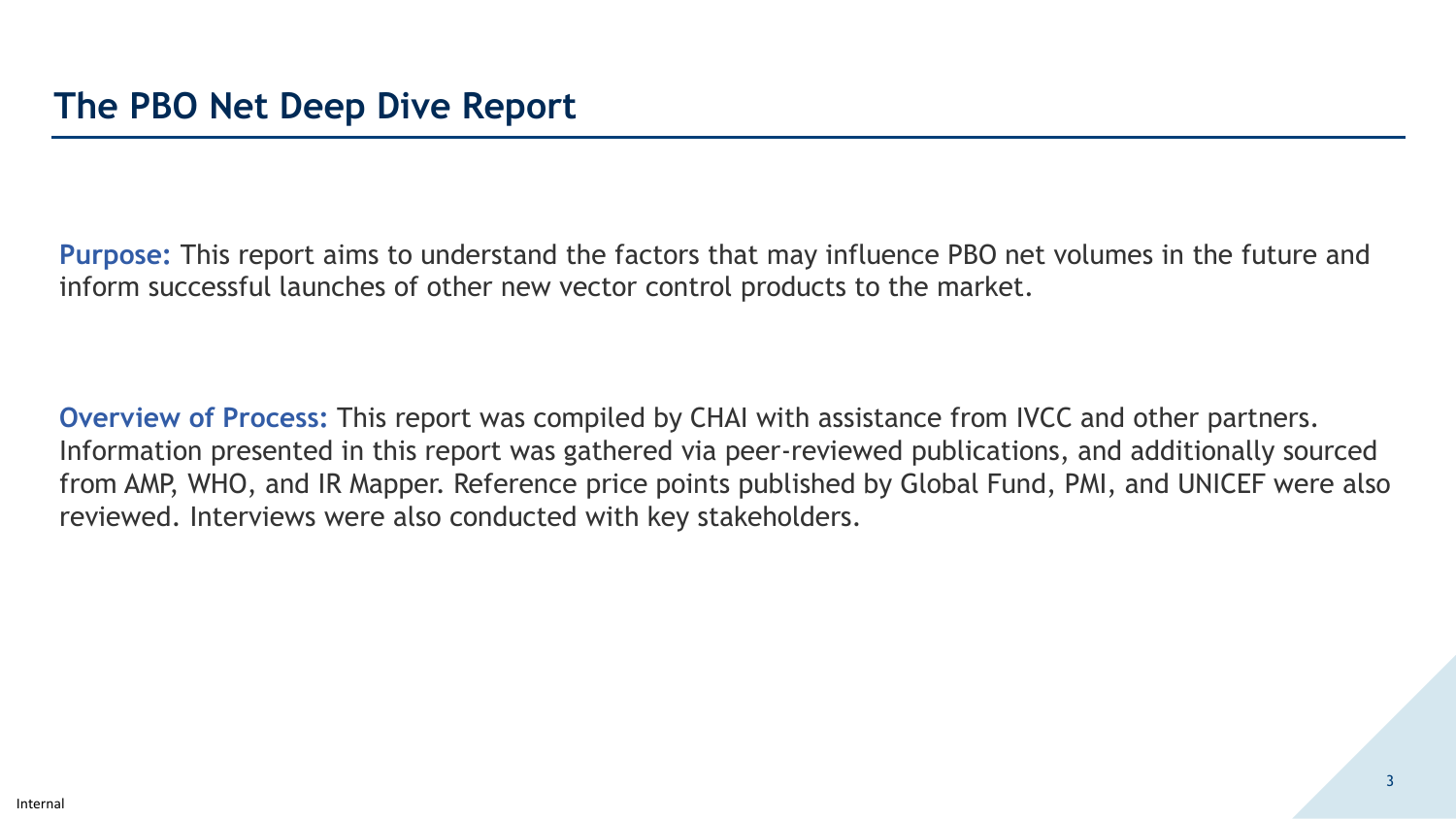**Purpose:** This report aims to understand the factors that may influence PBO net volumes in the future and inform successful launches of other new vector control products to the market.

**Overview of Process:** This report was compiled by CHAI with assistance from IVCC and other partners. Information presented in this report was gathered via peer-reviewed publications, and additionally sourced from AMP, WHO, and IR Mapper. Reference price points published by Global Fund, PMI, and UNICEF were also reviewed. Interviews were also conducted with key stakeholders.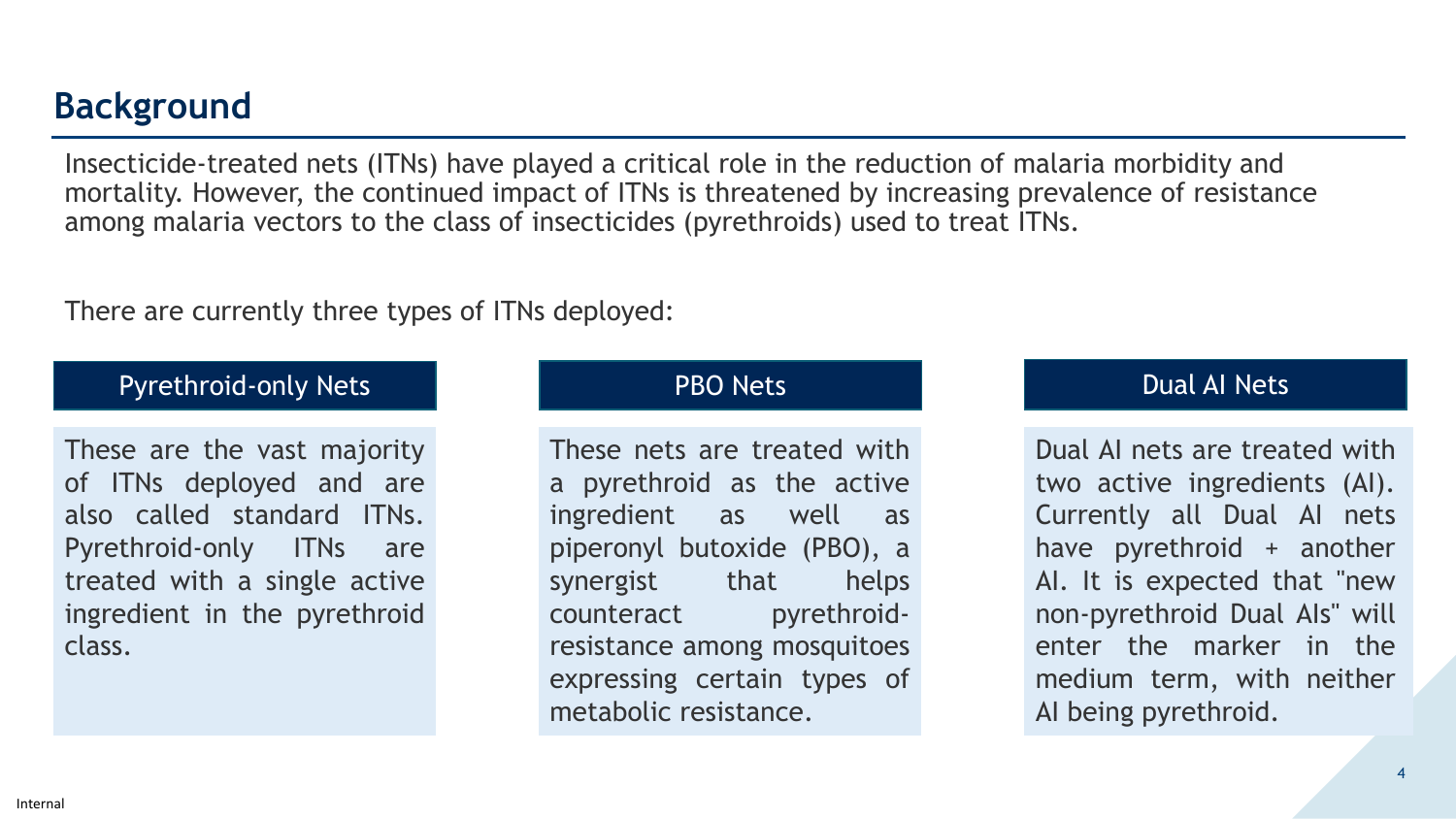## **Background**

Insecticide-treated nets (ITNs) have played a critical role in the reduction of malaria morbidity and mortality. However, the continued impact of ITNs is threatened by increasing prevalence of resistance among malaria vectors to the class of insecticides (pyrethroids) used to treat ITNs.

There are currently three types of ITNs deployed:

#### Pyrethroid-only Nets

These are the vast are the vast majority of ITNs deployed and are also called standard ITNs. Pyrethroid-only ITNs are treated with a single active ingredient in the pyrethroid class.

#### PBO Nets

These nets are treated with a pyrethroid as the active ingredient as well as piperonyl butoxide (PBO), a synergist that helps counteract pyrethroidresistance among mosquitoes expressing certain types of metabolic resistance.

### Dual AI Nets

Dual AI nets are treated with AI nets are treated with two active ingredients (AI). active ingredients (AI). Currently all Dual AI nets all Dual AI nets have pyrethroid + another AI. It is expected that "new pyrethroid Dual AIs" will non-pyrethroid Dual AIs" will enter the marker in the the marker in the medium term, with neither being pyrethroid. AI being pyrethroid.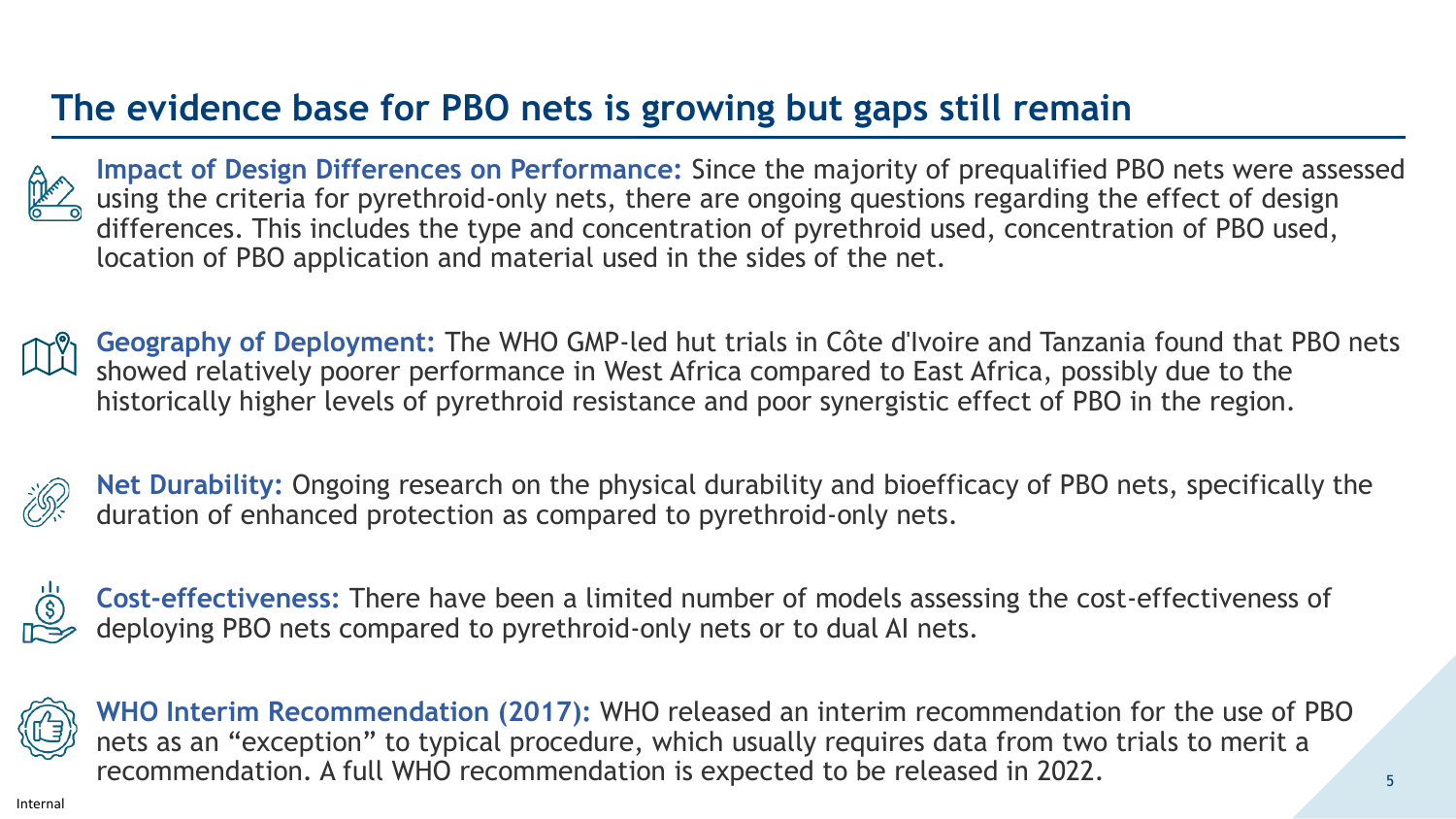# **The evidence base for PBO nets is growing but gaps still remain**



**Impact of Design Differences on Performance:** Since the majority of prequalified PBO nets were assessed using the criteria for pyrethroid-only nets, there are ongoing questions regarding the effect of design differences. This includes the type and concentration of pyrethroid used, concentration of PBO used, location of PBO application and material used in the sides of the net.

**Geography of Deployment:** The WHO GMP-led hut trials in Côte d'Ivoire and Tanzania found that PBO nets showed relatively poorer performance in West Africa compared to East Africa, possibly due to the historically higher levels of pyrethroid resistance and poor synergistic effect of PBO in the region.



**Net Durability:** Ongoing research on the physical durability and bioefficacy of PBO nets, specifically the duration of enhanced protection as compared to pyrethroid-only nets.



**Cost-effectiveness:** There have been a limited number of models assessing the cost-effectiveness of deploying PBO nets compared to pyrethroid-only nets or to dual AI nets.



**WHO Interim Recommendation (2017):** WHO released an interim recommendation for the use of PBO nets as an "exception" to typical procedure, which usually requires data from two trials to merit a recommendation. A full WHO recommendation is expected to be released in 2022.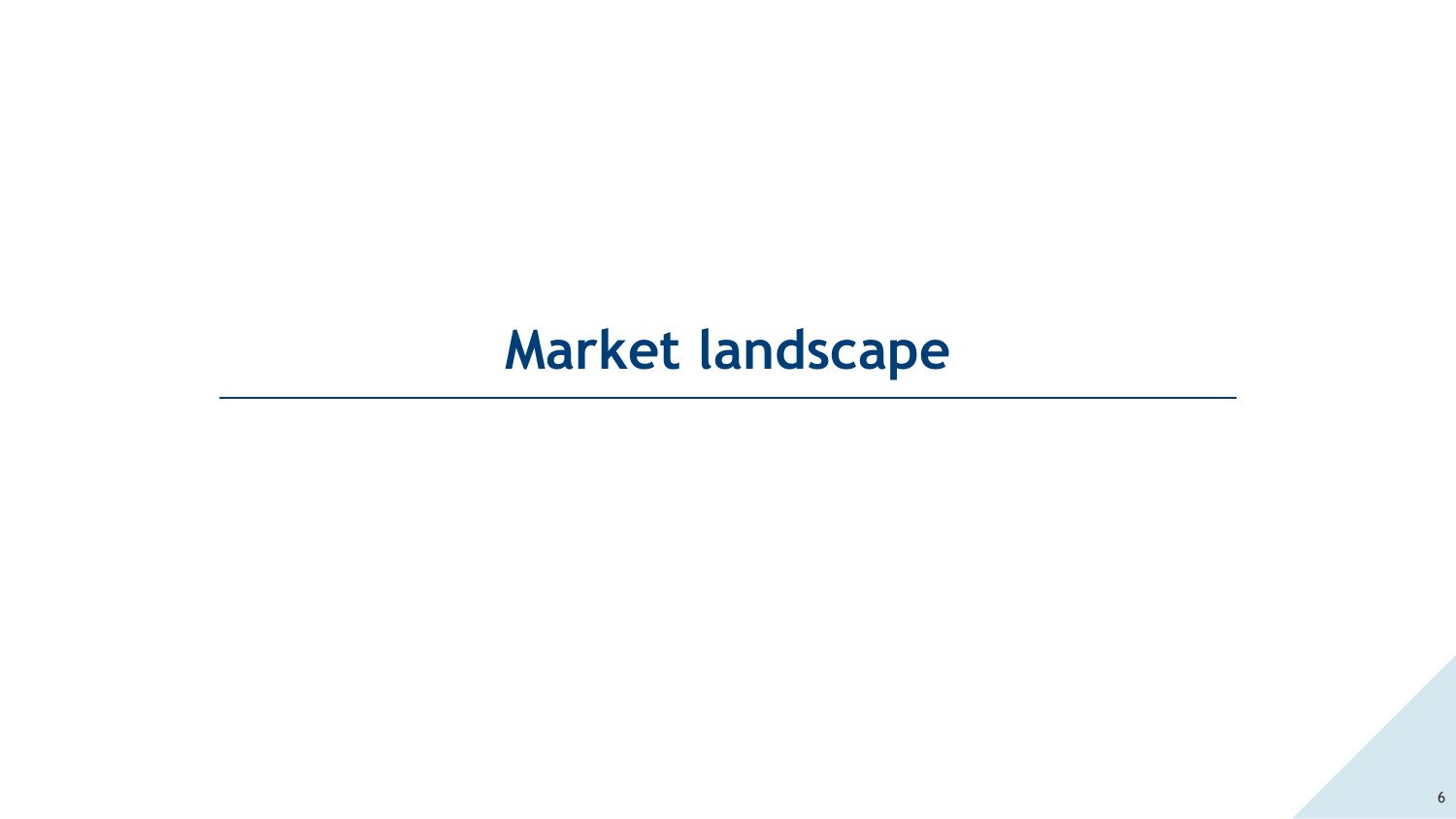# **Market landscape**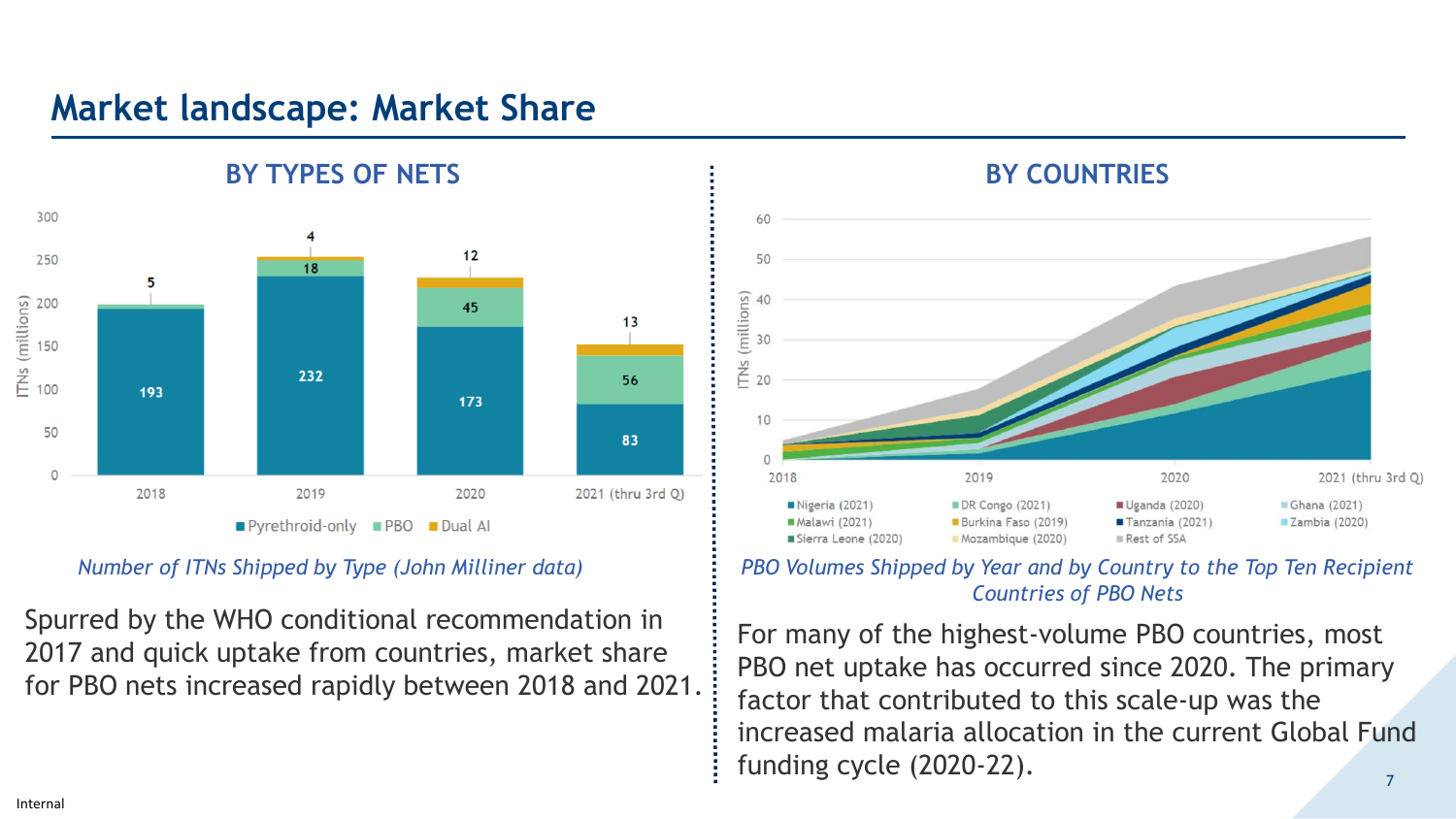## **Market landscape: Market Share**



#### *Number of ITNs Shipped by Type (John Milliner data)*

Spurred by the WHO conditional recommendation in 2017 and quick uptake from countries, market share for PBO nets increased rapidly between 2018 and 2021.



#### *PBO Volumes Shipped by Year and by Country to the Top Ten Recipient Countries of PBO Nets*

For many of the highest-volume PBO countries, most PBO net uptake has occurred since 2020. The primary factor that contributed to this scale-up was the increased malaria allocation in the current Global Fund funding cycle (2020-22).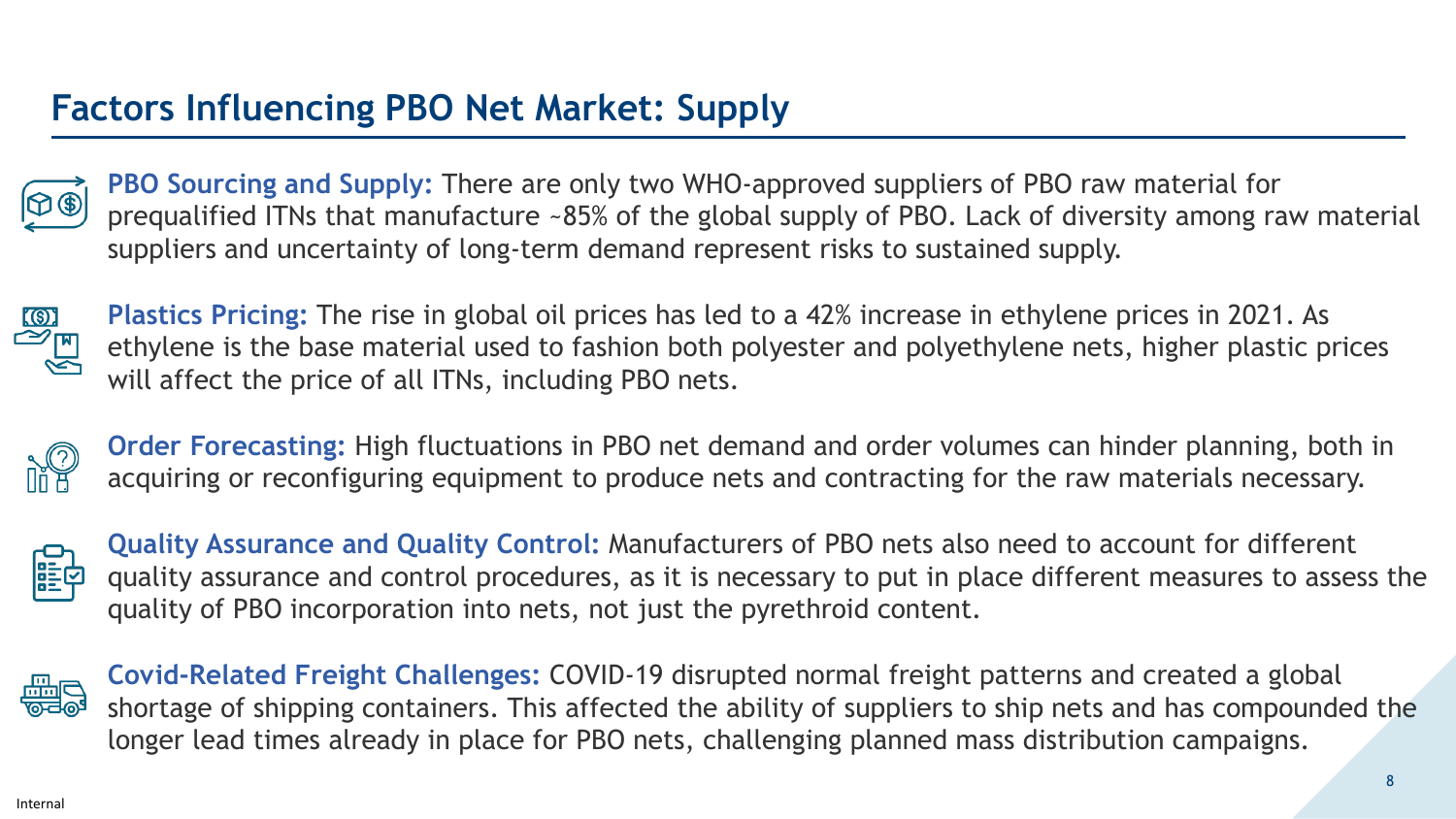# **Factors Influencing PBO Net Market: Supply**



**PBO Sourcing and Supply:** There are only two WHO-approved suppliers of PBO raw material for prequalified ITNs that manufacture ~85% of the global supply of PBO. Lack of diversity among raw material suppliers and uncertainty of long-term demand represent risks to sustained supply.



**Plastics Pricing:** The rise in global oil prices has led to a 42% increase in ethylene prices in 2021. As ethylene is the base material used to fashion both polyester and polyethylene nets, higher plastic prices will affect the price of all ITNs, including PBO nets.



**Order Forecasting:** High fluctuations in PBO net demand and order volumes can hinder planning, both in acquiring or reconfiguring equipment to produce nets and contracting for the raw materials necessary.



**Quality Assurance and Quality Control:** Manufacturers of PBO nets also need to account for different quality assurance and control procedures, as it is necessary to put in place different measures to assess the quality of PBO incorporation into nets, not just the pyrethroid content.



**Covid-Related Freight Challenges:** COVID-19 disrupted normal freight patterns and created a global shortage of shipping containers. This affected the ability of suppliers to ship nets and has compounded the longer lead times already in place for PBO nets, challenging planned mass distribution campaigns.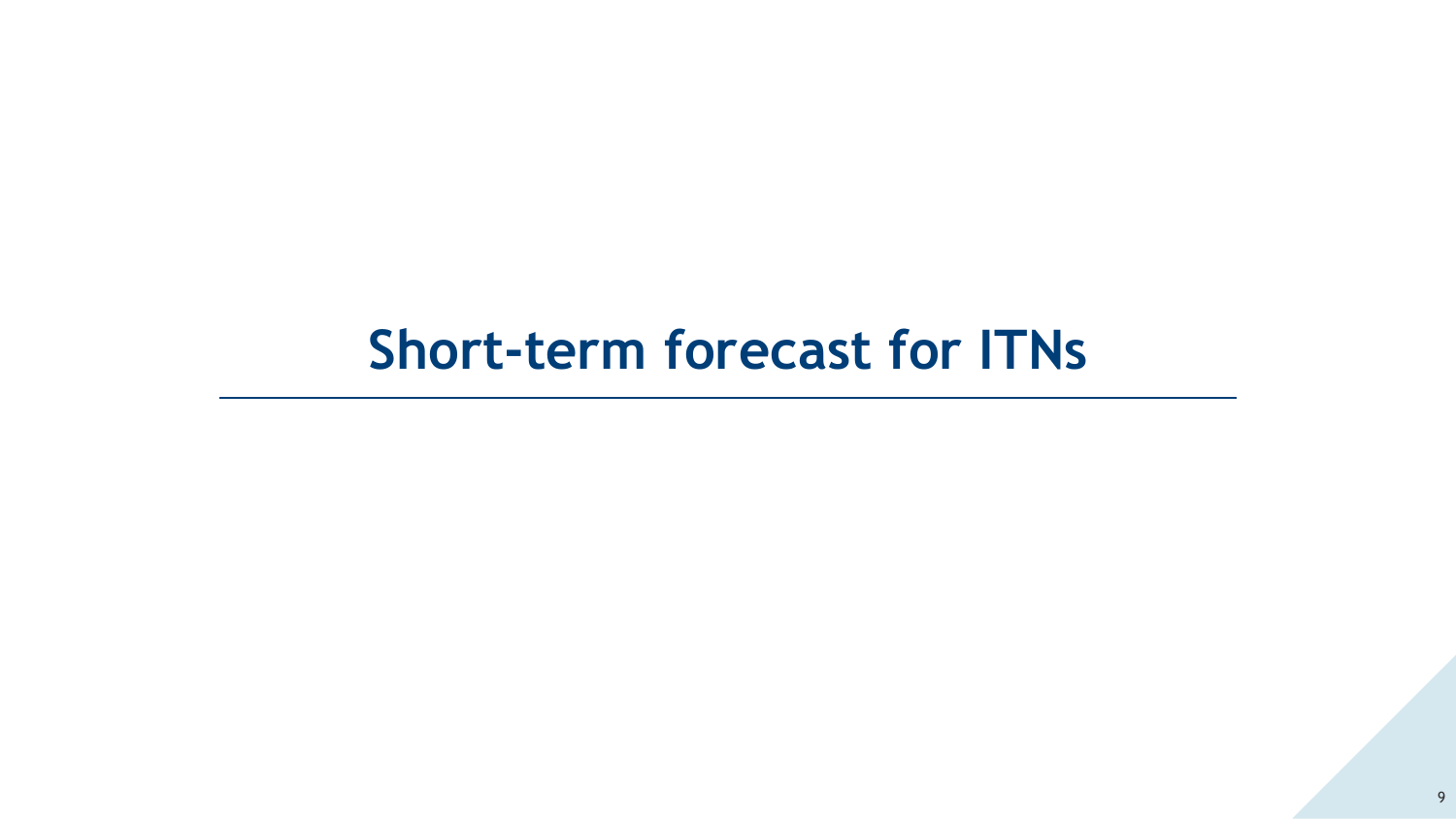# **Short-term forecast for ITNs**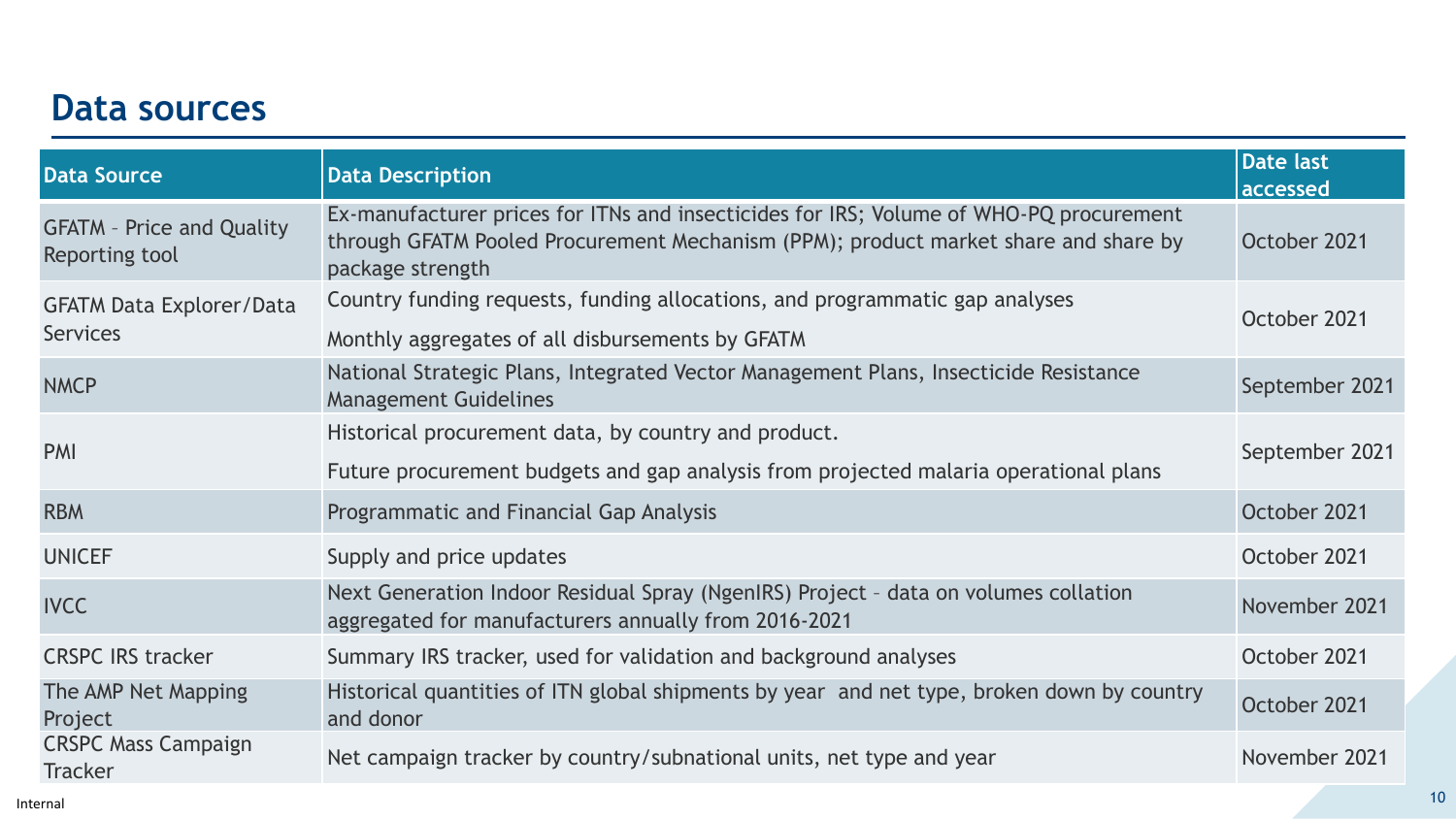## **Data sources**

| <b>Data Source</b>                                 | <b>Data Description</b>                                                                                                                                                                           | <b>Date last</b><br>accessed |
|----------------------------------------------------|---------------------------------------------------------------------------------------------------------------------------------------------------------------------------------------------------|------------------------------|
| <b>GFATM - Price and Quality</b><br>Reporting tool | Ex-manufacturer prices for ITNs and insecticides for IRS; Volume of WHO-PQ procurement<br>through GFATM Pooled Procurement Mechanism (PPM); product market share and share by<br>package strength | October 2021                 |
| <b>GFATM Data Explorer/Data</b><br><b>Services</b> | Country funding requests, funding allocations, and programmatic gap analyses<br>Monthly aggregates of all disbursements by GFATM                                                                  | October 2021                 |
| <b>NMCP</b>                                        | National Strategic Plans, Integrated Vector Management Plans, Insecticide Resistance<br><b>Management Guidelines</b>                                                                              | September 2021               |
| <b>PMI</b>                                         | Historical procurement data, by country and product.<br>Future procurement budgets and gap analysis from projected malaria operational plans                                                      | September 2021               |
| <b>RBM</b>                                         | Programmatic and Financial Gap Analysis                                                                                                                                                           | October 2021                 |
| <b>UNICEF</b>                                      | Supply and price updates                                                                                                                                                                          | October 2021                 |
| <b>IVCC</b>                                        | Next Generation Indoor Residual Spray (NgenIRS) Project - data on volumes collation<br>aggregated for manufacturers annually from 2016-2021                                                       | November 2021                |
| <b>CRSPC IRS tracker</b>                           | Summary IRS tracker, used for validation and background analyses                                                                                                                                  | October 2021                 |
| The AMP Net Mapping<br>Project                     | Historical quantities of ITN global shipments by year and net type, broken down by country<br>and donor                                                                                           | October 2021                 |
| <b>CRSPC Mass Campaign</b><br><b>Tracker</b>       | Net campaign tracker by country/subnational units, net type and year                                                                                                                              | November 2021                |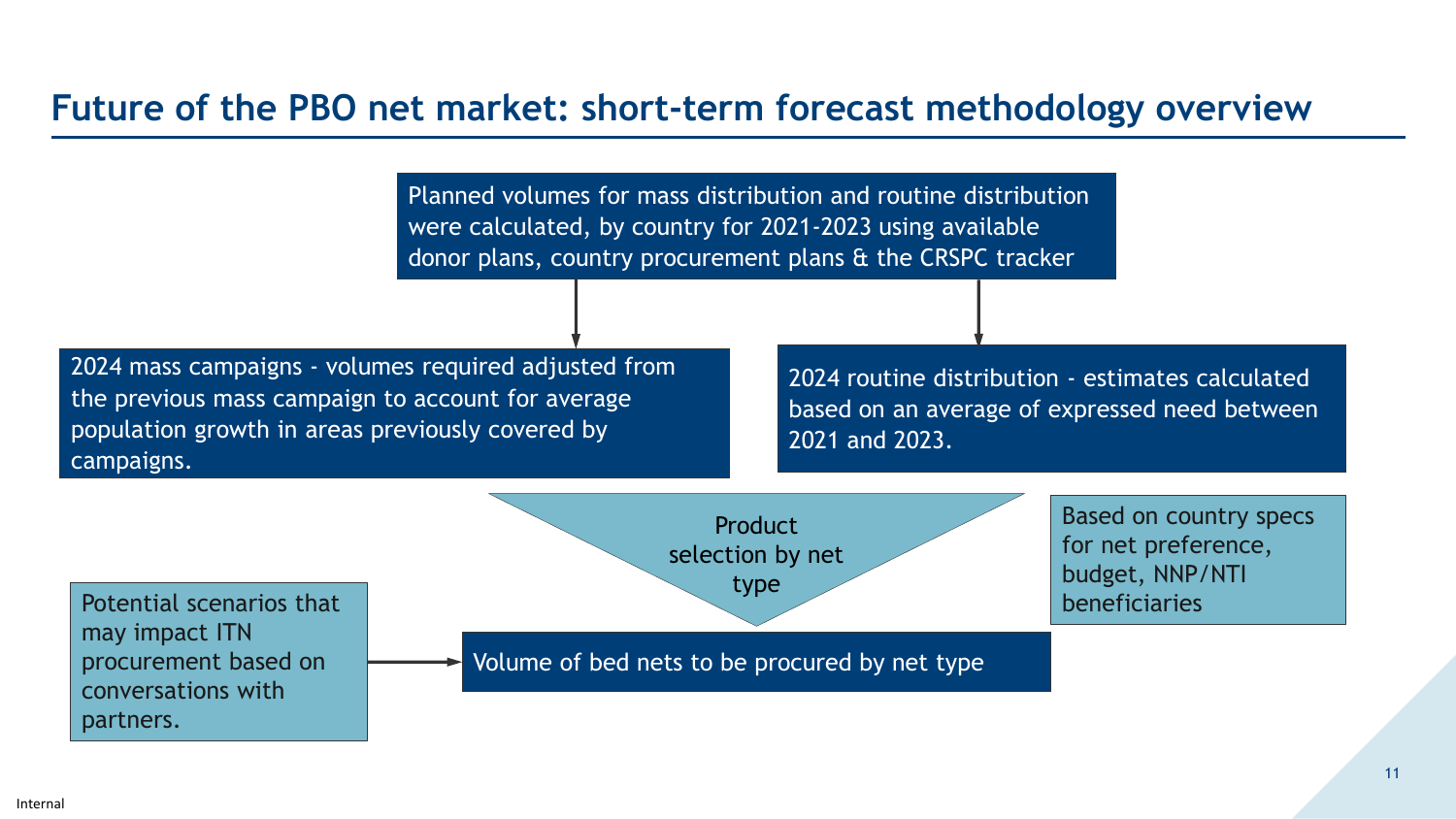## **Future of the PBO net market: short-term forecast methodology overview**

Planned volumes for mass distribution and routine distribution were calculated, by country for 2021-2023 using available donor plans, country procurement plans & the CRSPC tracker

2024 mass campaigns - volumes required adjusted from the previous mass campaign to account for average population growth in areas previously covered by campaigns.

2024 routine distribution - estimates calculated based on an average of expressed need between 2021 and 2023.

Based on country specs

for net preference,

budget, NNP/NTI

beneficiaries

**Product** selection by net type

Potential scenarios that may impact ITN procurement based on conversations with partners.

Volume of bed nets to be procured by net type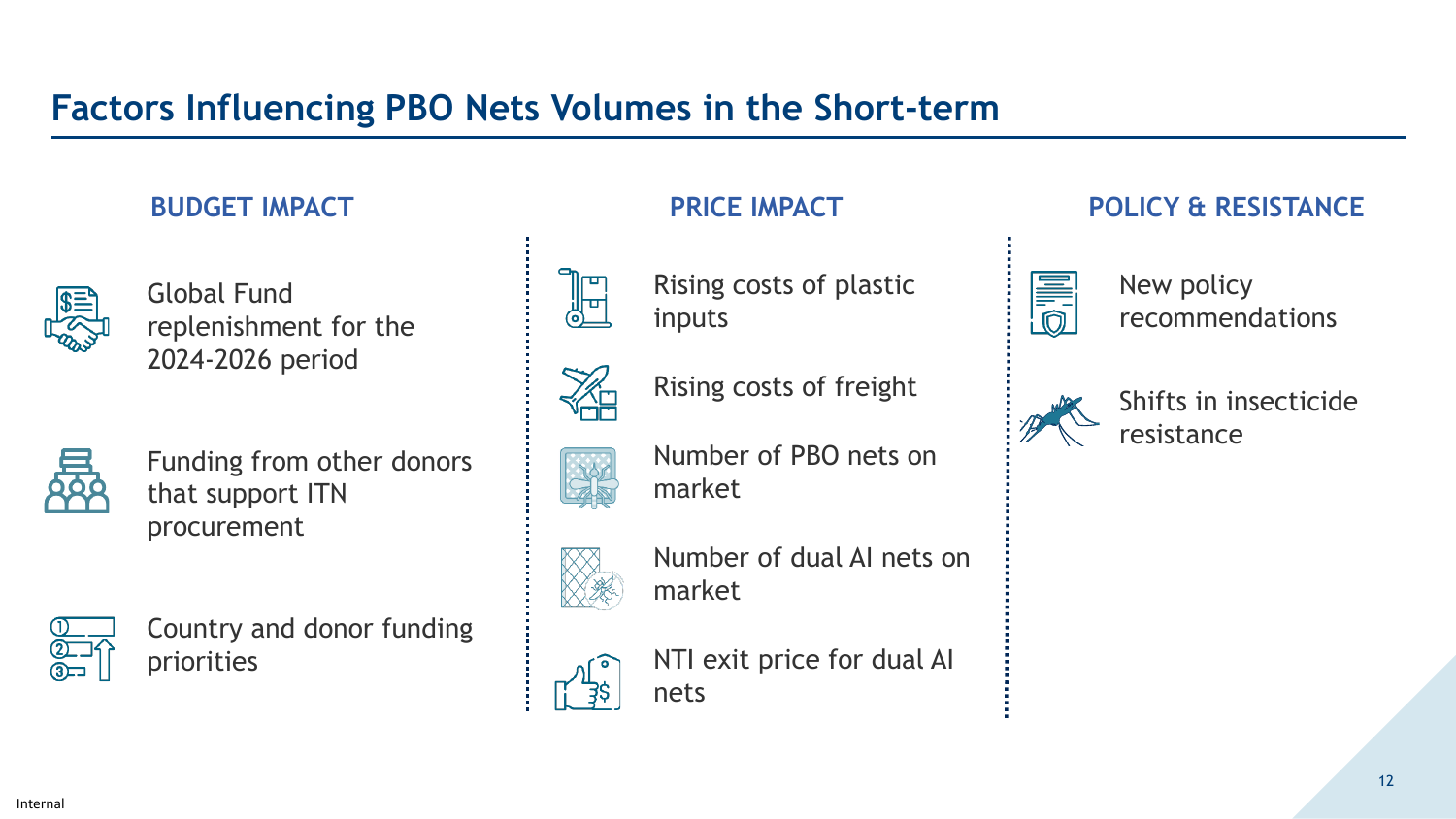# **Factors Influencing PBO Nets Volumes in the Short-term**



Global Fund replenishment for the 2024-2026 period



Funding from other donors that support ITN procurement



Country and donor funding priorities





Rising costs of plastic inputs

Rising costs of freight

Number of PBO nets on

market



Number of dual AI nets on market

NTI exit price for dual AI nets

### **BUDGET IMPACT PRICE IMPACT POLICY & RESISTANCE**



New policy recommendations



Shifts in insecticide resistance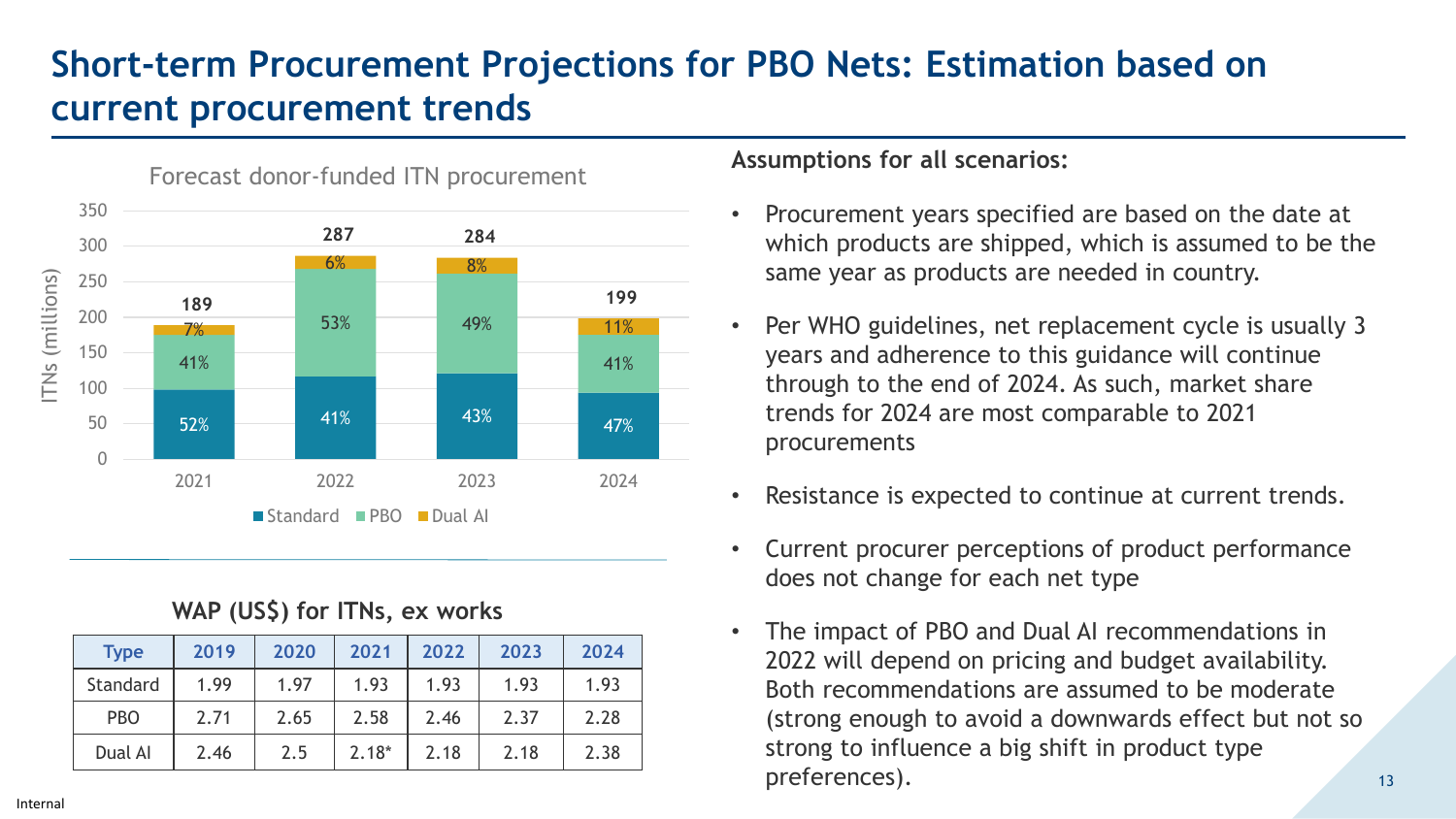# **Short-term Procurement Projections for PBO Nets: Estimation based on current procurement trends**



#### **WAP (US\$) for ITNs, ex works**

| <b>Type</b> | 2019 | 2020 | 2021    | 2022 | 2023 | 2024 |
|-------------|------|------|---------|------|------|------|
| Standard    | 1.99 | 1.97 | 1.93    | 1.93 | 1.93 | 1.93 |
| <b>PBO</b>  | 2.71 | 2.65 | 2.58    | 2.46 | 2.37 | 2.28 |
| Dual Al     | 2.46 | 2.5  | $2.18*$ | 2.18 | 2.18 | 2.38 |

#### **Assumptions for all scenarios:**

- Procurement years specified are based on the date at which products are shipped, which is assumed to be the same year as products are needed in country.
- Per WHO guidelines, net replacement cycle is usually 3 years and adherence to this guidance will continue through to the end of 2024. As such, market share trends for 2024 are most comparable to 2021 procurements
- Resistance is expected to continue at current trends.
- Current procurer perceptions of product performance does not change for each net type
- The impact of PBO and Dual AI recommendations in 2022 will depend on pricing and budget availability. Both recommendations are assumed to be moderate (strong enough to avoid a downwards effect but not so strong to influence a big shift in product type preferences).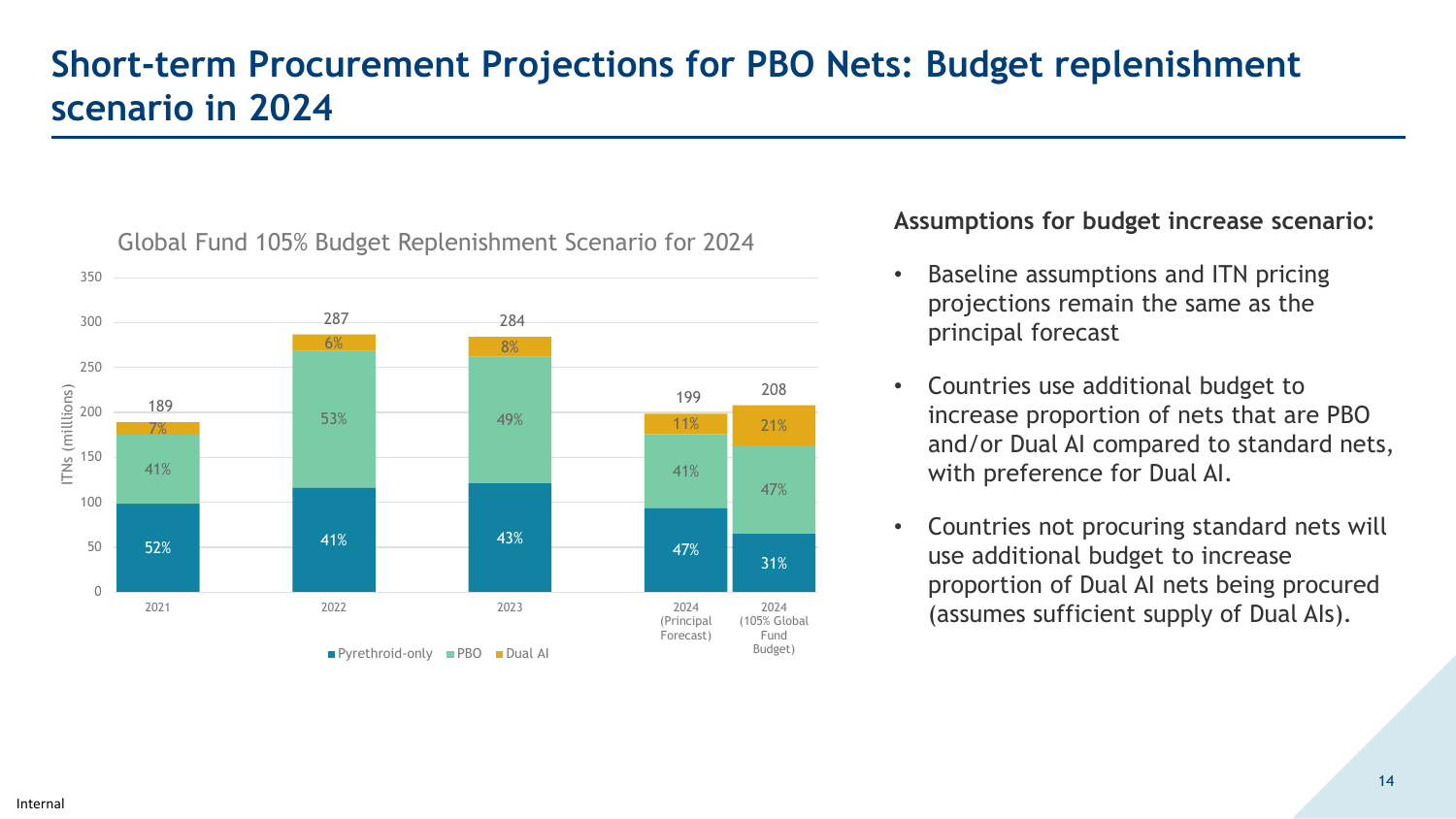# **Short-term Procurement Projections for PBO Nets: Budget replenishment scenario in 2024**



#### Global Fund 105% Budget Replenishment Scenario for 2024

#### **Assumptions for budget increase scenario:**

- Baseline assumptions and ITN pricing projections remain the same as the principal forecast
- Countries use additional budget to increase proportion of nets that are PBO and/or Dual AI compared to standard nets, with preference for Dual AI.
- Countries not procuring standard nets will use additional budget to increase proportion of Dual AI nets being procured (assumes sufficient supply of Dual AIs).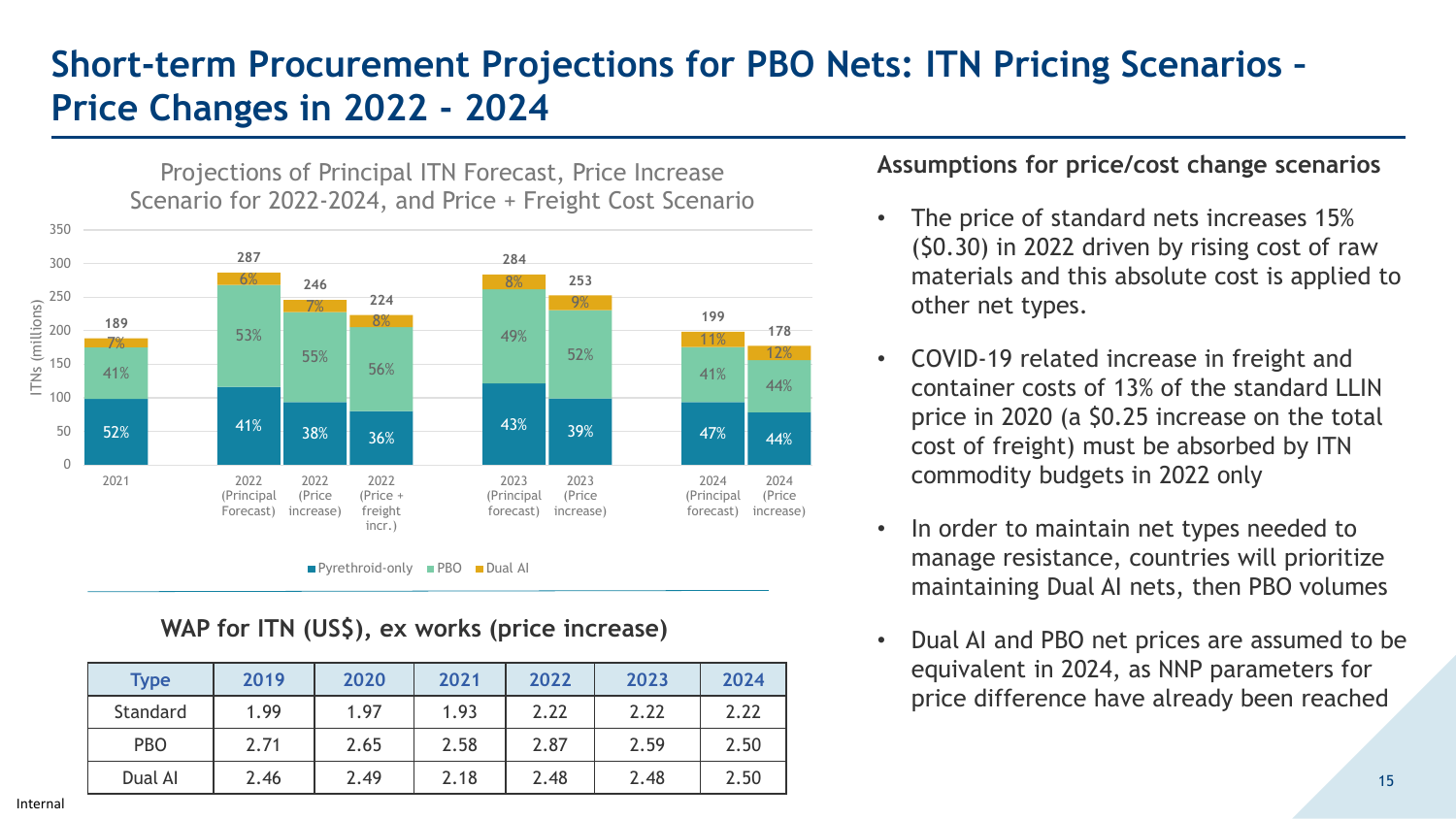# **Short-term Procurement Projections for PBO Nets: ITN Pricing Scenarios – Price Changes in 2022 - 2024**



 $\blacksquare$  Pyrethroid-only  $\blacksquare$  PBO  $\blacksquare$  Dual AI

#### **WAP for ITN (US\$), ex works (price increase)**

| <b>Type</b> | 2019 | 2020 | 2021 | 2022 | 2023 | 2024 |
|-------------|------|------|------|------|------|------|
| Standard    | 1.99 | 1.97 | 1.93 | 2.22 | 2.22 | 2.22 |
| <b>PBO</b>  | 2.71 | 2.65 | 2.58 | 2.87 | 2.59 | 2.50 |
| Dual AI     | 2.46 | 2.49 | 2.18 | 2.48 | 2.48 | 2.50 |

#### **Assumptions for price/cost change scenarios**

- The price of standard nets increases 15% (\$0.30) in 2022 driven by rising cost of raw materials and this absolute cost is applied to other net types.
- COVID-19 related increase in freight and container costs of 13% of the standard LLIN price in 2020 (a \$0.25 increase on the total cost of freight) must be absorbed by ITN commodity budgets in 2022 only
- In order to maintain net types needed to manage resistance, countries will prioritize maintaining Dual AI nets, then PBO volumes
- Dual AI and PBO net prices are assumed to be equivalent in 2024, as NNP parameters for price difference have already been reached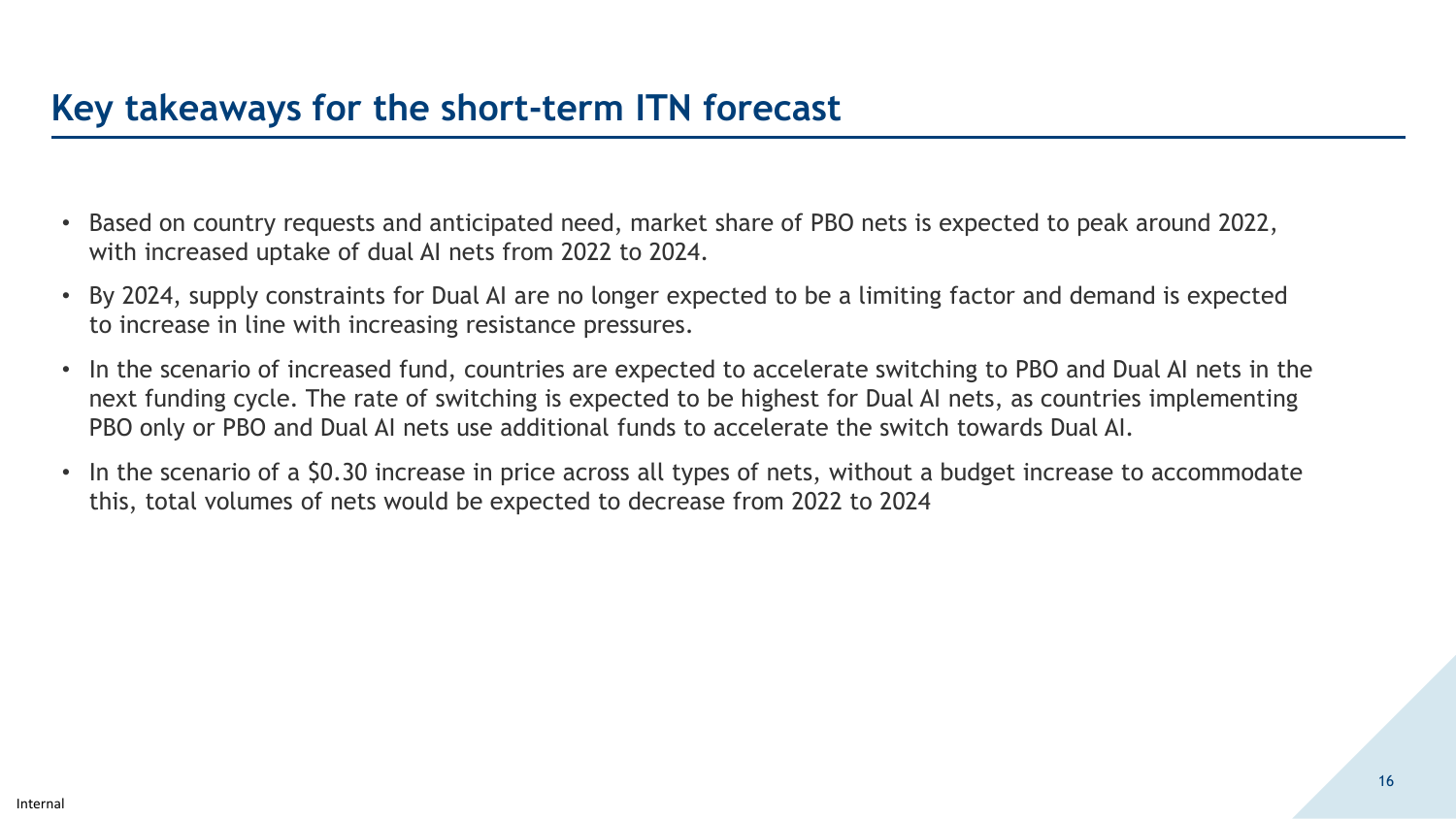## **Key takeaways for the short-term ITN forecast**

- Based on country requests and anticipated need, market share of PBO nets is expected to peak around 2022, with increased uptake of dual AI nets from 2022 to 2024.
- By 2024, supply constraints for Dual AI are no longer expected to be a limiting factor and demand is expected to increase in line with increasing resistance pressures.
- In the scenario of increased fund, countries are expected to accelerate switching to PBO and Dual AI nets in the next funding cycle. The rate of switching is expected to be highest for Dual AI nets, as countries implementing PBO only or PBO and Dual AI nets use additional funds to accelerate the switch towards Dual AI.
- In the scenario of a \$0.30 increase in price across all types of nets, without a budget increase to accommodate this, total volumes of nets would be expected to decrease from 2022 to 2024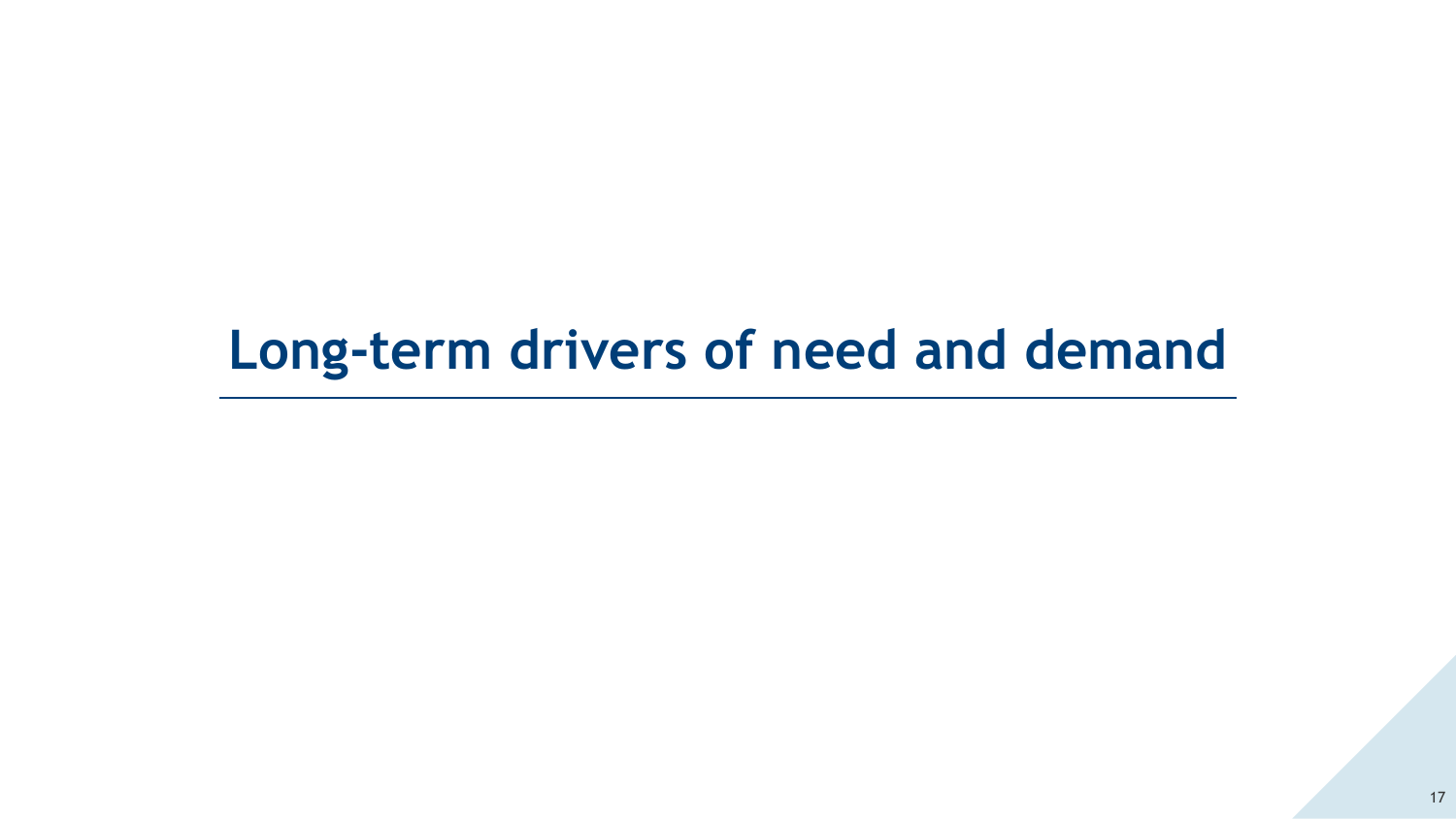# **Long-term drivers of need and demand**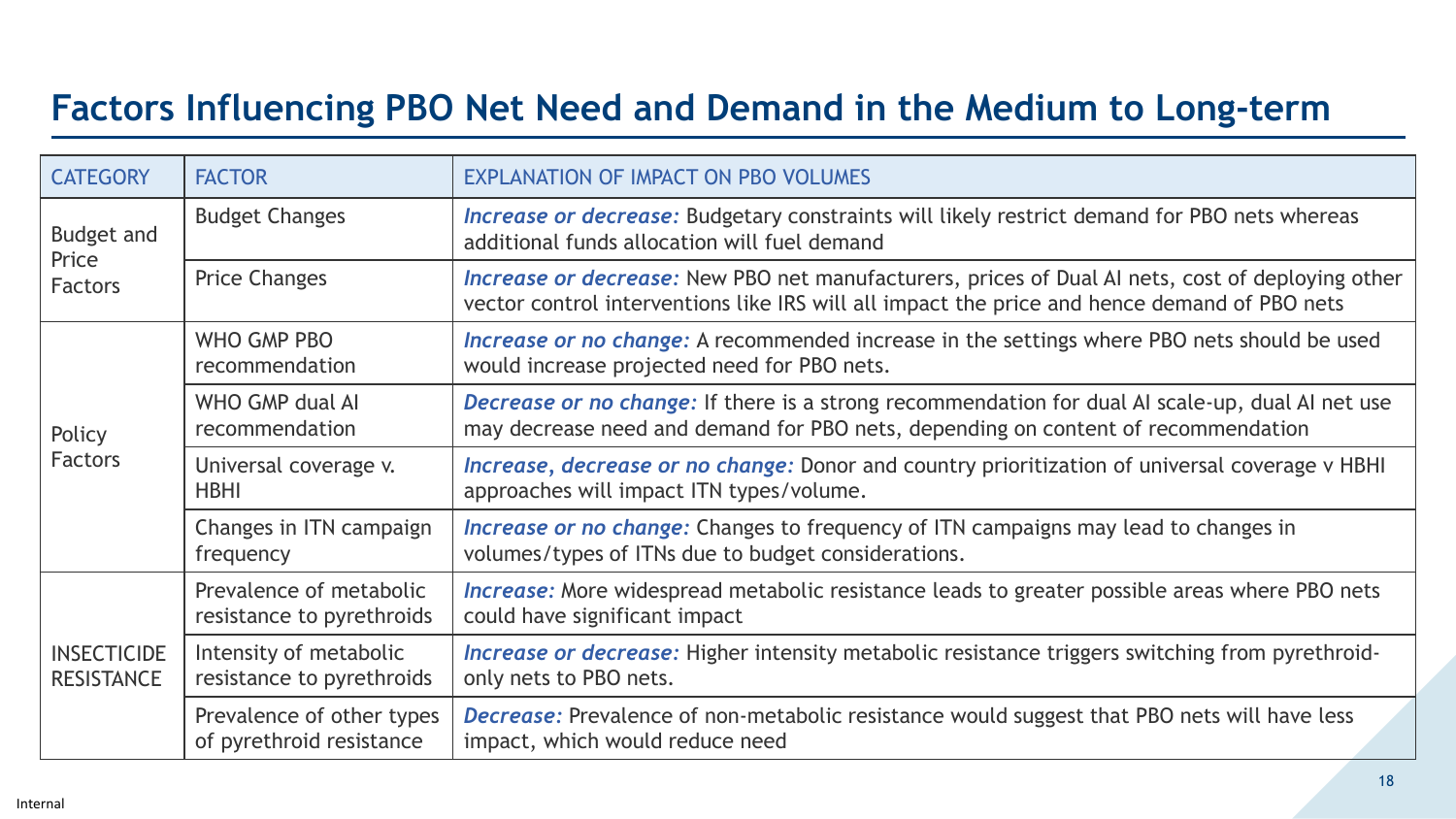# **Factors Influencing PBO Net Need and Demand in the Medium to Long-term**

| <b>CATEGORY</b>                              | <b>FACTOR</b>                                         | <b>EXPLANATION OF IMPACT ON PBO VOLUMES</b>                                                                                                                                                             |
|----------------------------------------------|-------------------------------------------------------|---------------------------------------------------------------------------------------------------------------------------------------------------------------------------------------------------------|
| <b>Budget and</b><br>Price<br><b>Factors</b> | <b>Budget Changes</b>                                 | Increase or decrease: Budgetary constraints will likely restrict demand for PBO nets whereas<br>additional funds allocation will fuel demand                                                            |
|                                              | <b>Price Changes</b>                                  | <b>Increase or decrease:</b> New PBO net manufacturers, prices of Dual AI nets, cost of deploying other<br>vector control interventions like IRS will all impact the price and hence demand of PBO nets |
| Policy<br><b>Factors</b>                     | WHO GMP PBO<br>recommendation                         | Increase or no change: A recommended increase in the settings where PBO nets should be used<br>would increase projected need for PBO nets.                                                              |
|                                              | WHO GMP dual AI<br>recommendation                     | Decrease or no change: If there is a strong recommendation for dual AI scale-up, dual AI net use<br>may decrease need and demand for PBO nets, depending on content of recommendation                   |
|                                              | Universal coverage v.<br><b>HBHI</b>                  | Increase, decrease or no change: Donor and country prioritization of universal coverage v HBHI<br>approaches will impact ITN types/volume.                                                              |
|                                              | Changes in ITN campaign<br>frequency                  | <b>Increase or no change:</b> Changes to frequency of ITN campaigns may lead to changes in<br>volumes/types of ITNs due to budget considerations.                                                       |
| <b>INSECTICIDE</b><br><b>RESISTANCE</b>      | Prevalence of metabolic<br>resistance to pyrethroids  | <b>Increase:</b> More widespread metabolic resistance leads to greater possible areas where PBO nets<br>could have significant impact                                                                   |
|                                              | Intensity of metabolic<br>resistance to pyrethroids   | Increase or decrease: Higher intensity metabolic resistance triggers switching from pyrethroid-<br>only nets to PBO nets.                                                                               |
|                                              | Prevalence of other types<br>of pyrethroid resistance | <b>Decrease:</b> Prevalence of non-metabolic resistance would suggest that PBO nets will have less<br>impact, which would reduce need                                                                   |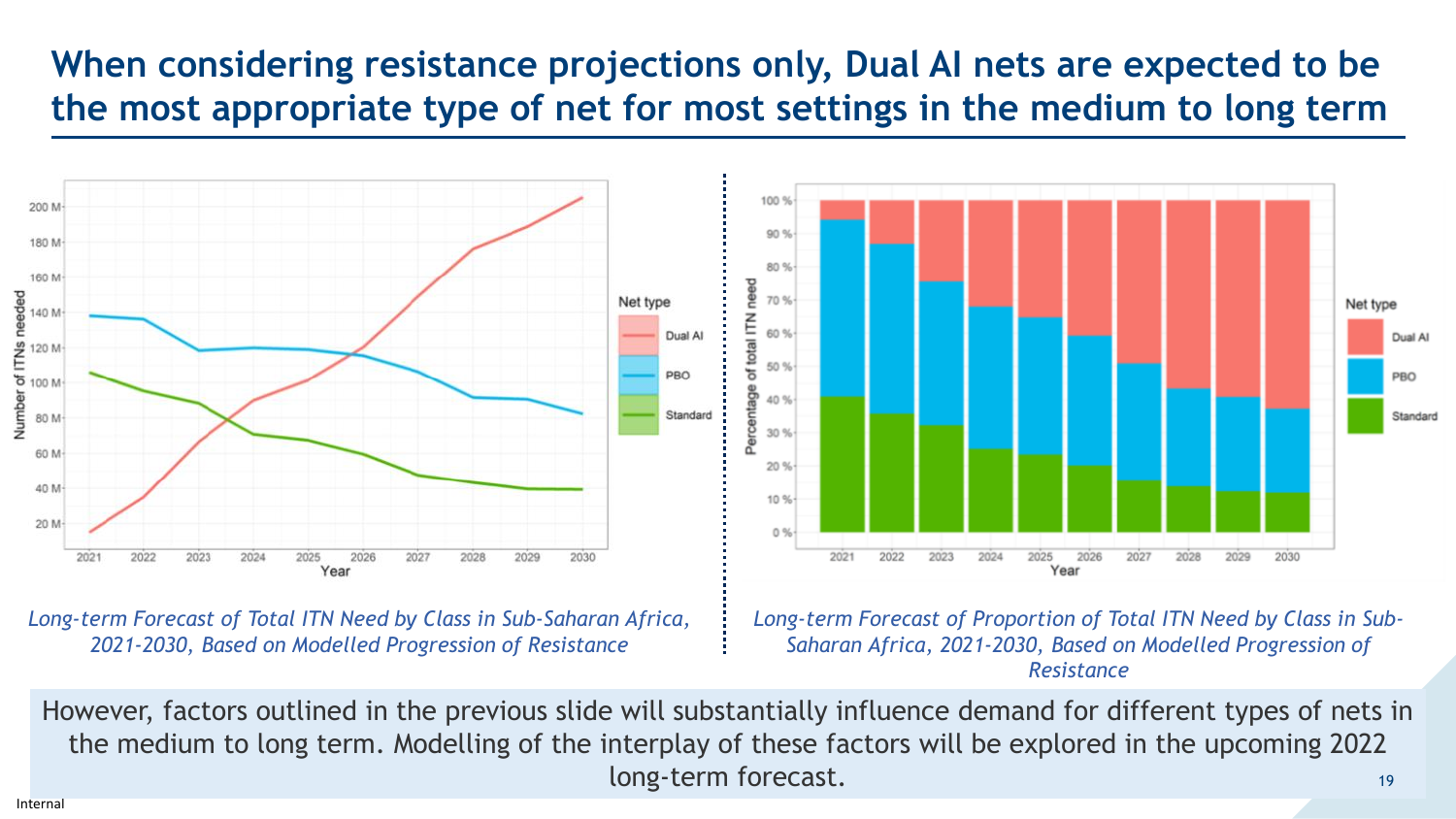# **When considering resistance projections only, Dual AI nets are expected to be the most appropriate type of net for most settings in the medium to long term**



*Long-term Forecast of Total ITN Need by Class in Sub-Saharan Africa, 2021-2030, Based on Modelled Progression of Resistance*

*Long-term Forecast of Proportion of Total ITN Need by Class in Sub-Saharan Africa, 2021-2030, Based on Modelled Progression of Resistance*

However, factors outlined in the previous slide will substantially influence demand for different types of nets in the medium to long term. Modelling of the interplay of these factors will be explored in the upcoming 2022 long-term forecast. 19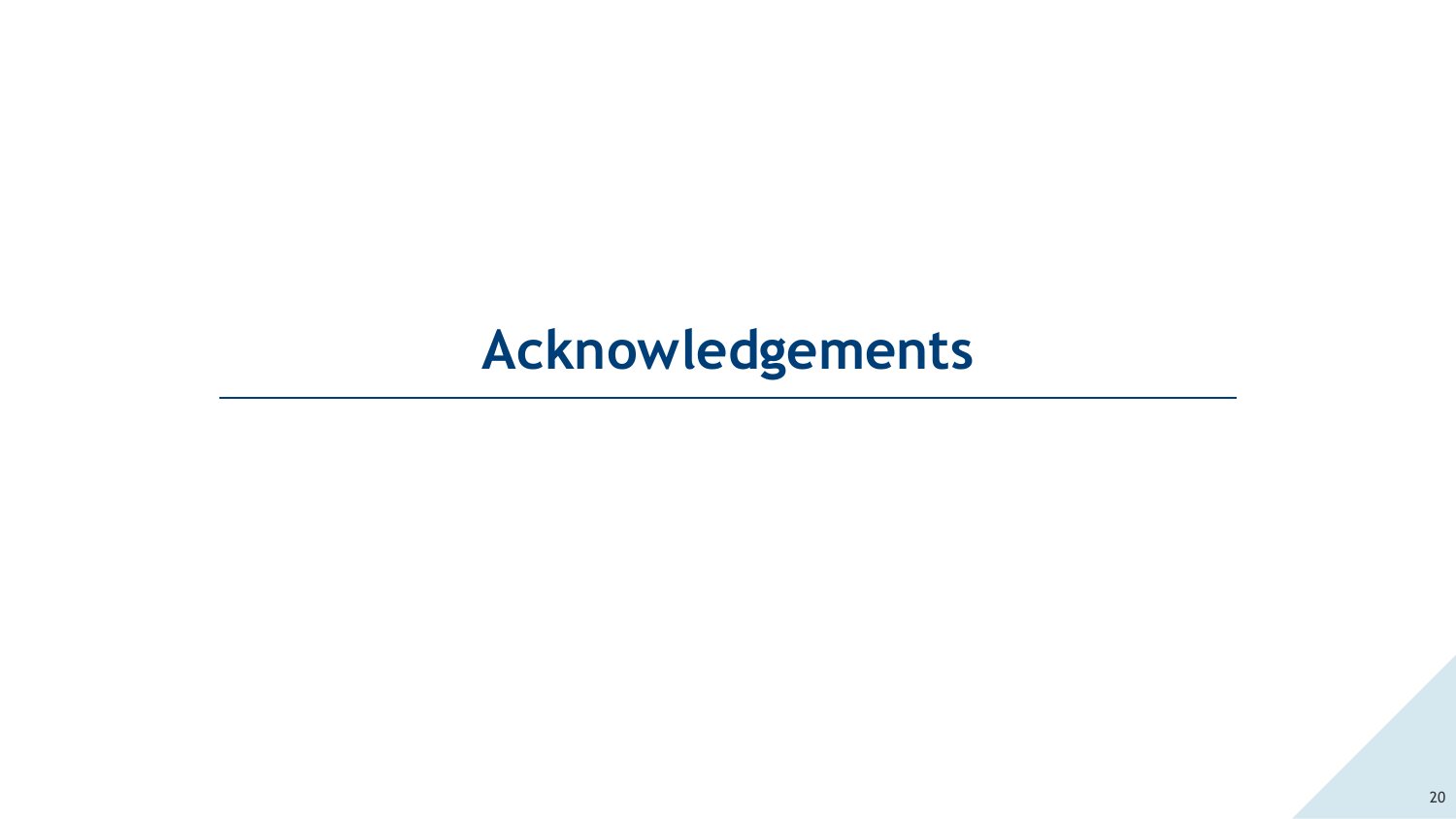# **Acknowledgements**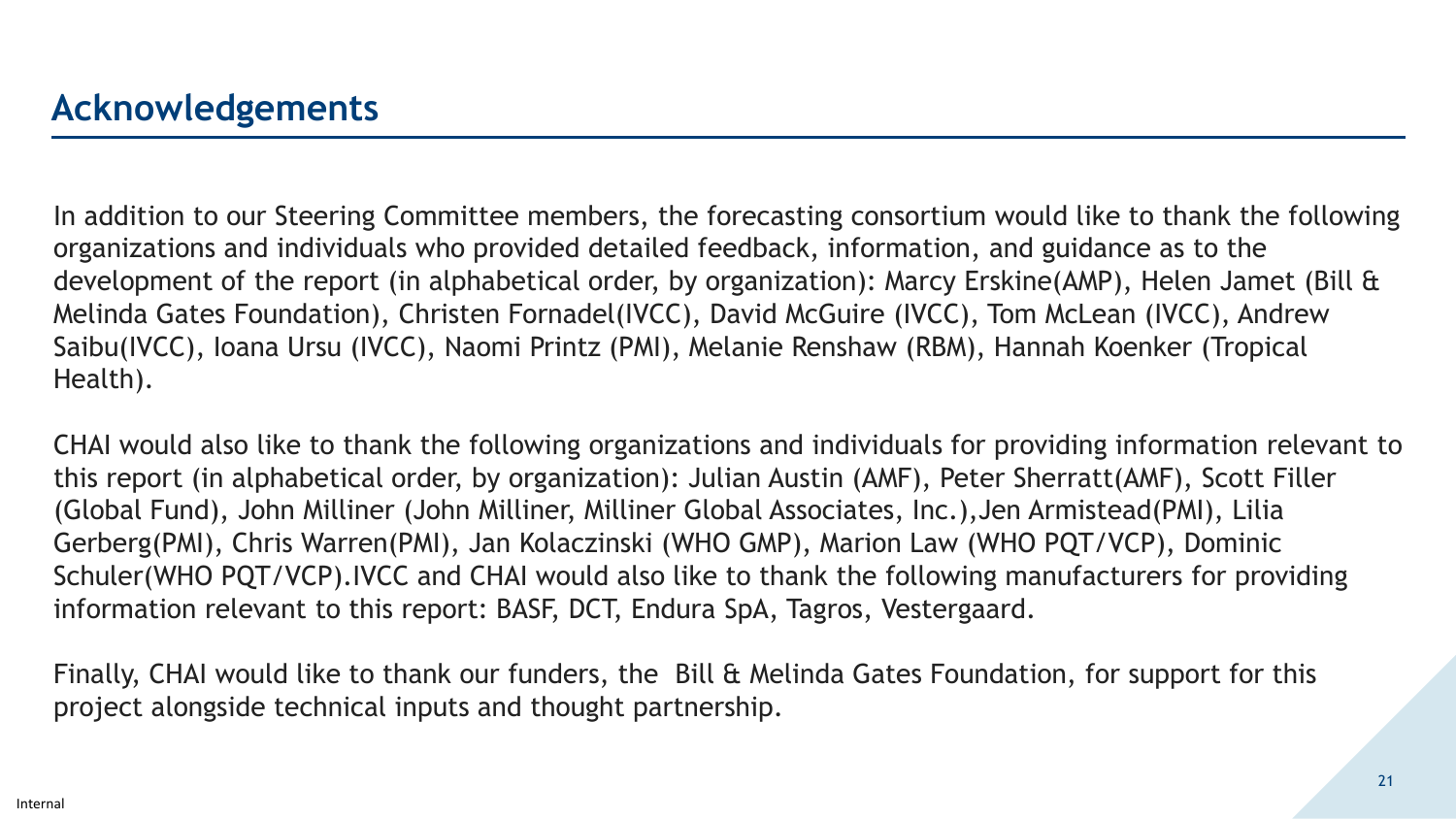In addition to our Steering Committee members, the forecasting consortium would like to thank the following organizations and individuals who provided detailed feedback, information, and guidance as to the development of the report (in alphabetical order, by organization): Marcy Erskine(AMP), Helen Jamet (Bill & Melinda Gates Foundation), Christen Fornadel(IVCC), David McGuire (IVCC), Tom McLean (IVCC), Andrew Saibu(IVCC), Ioana Ursu (IVCC), Naomi Printz (PMI), Melanie Renshaw (RBM), Hannah Koenker (Tropical Health).

CHAI would also like to thank the following organizations and individuals for providing information relevant to this report (in alphabetical order, by organization): Julian Austin (AMF), Peter Sherratt(AMF), Scott Filler (Global Fund), John Milliner (John Milliner, Milliner Global Associates, Inc.),Jen Armistead(PMI), Lilia Gerberg(PMI), Chris Warren(PMI), Jan Kolaczinski (WHO GMP), Marion Law (WHO PQT/VCP), Dominic Schuler(WHO PQT/VCP).IVCC and CHAI would also like to thank the following manufacturers for providing information relevant to this report: BASF, DCT, Endura SpA, Tagros, Vestergaard.

Finally, CHAI would like to thank our funders, the Bill & Melinda Gates Foundation, for support for this project alongside technical inputs and thought partnership.